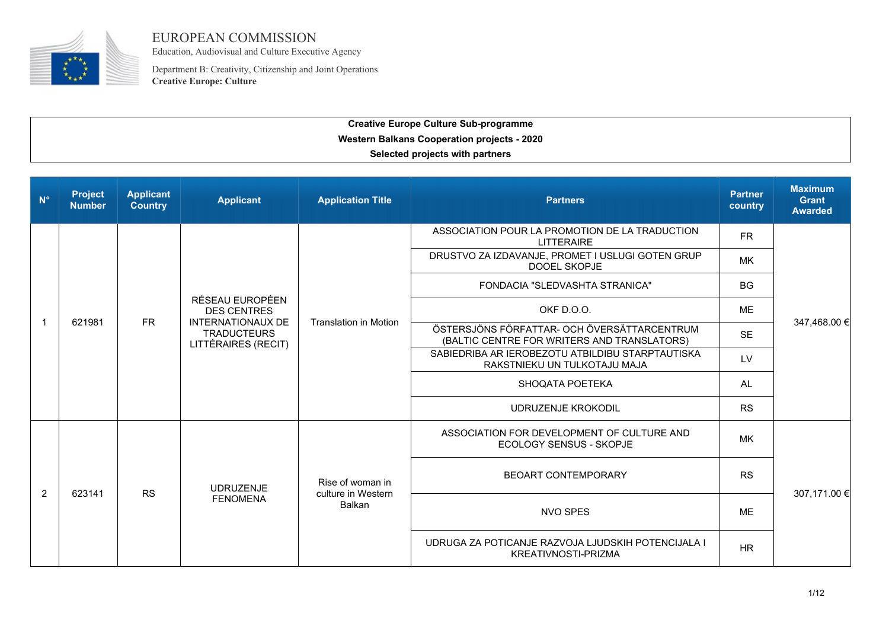

EUROPEAN COMMISSION Education, Audiovisual and Culture Executive Agency

Department B: Creativity, Citizenship and Joint Operations **Creative Europe: Culture**

| $N^{\circ}$    | <b>Project</b><br><b>Number</b> | <b>Applicant</b><br><b>Country</b> | <b>Applicant</b>                                                      | <b>Application Title</b>               | <b>Partners</b>                                                                            | <b>Partner</b><br>country | <b>Maximum</b><br><b>Grant</b><br><b>Awarded</b> |
|----------------|---------------------------------|------------------------------------|-----------------------------------------------------------------------|----------------------------------------|--------------------------------------------------------------------------------------------|---------------------------|--------------------------------------------------|
|                |                                 |                                    |                                                                       |                                        | ASSOCIATION POUR LA PROMOTION DE LA TRADUCTION<br><b>LITTERAIRE</b>                        | <b>FR</b>                 |                                                  |
|                |                                 |                                    |                                                                       |                                        | DRUSTVO ZA IZDAVANJE, PROMET I USLUGI GOTEN GRUP<br>DOOEL SKOPJE                           | <b>MK</b>                 |                                                  |
|                |                                 |                                    |                                                                       |                                        | FONDACIA "SLEDVASHTA STRANICA"                                                             | <b>BG</b>                 |                                                  |
|                |                                 |                                    | RÉSEAU EUROPÉEN<br><b>DES CENTRES</b>                                 |                                        | OKF D.O.O.                                                                                 | <b>ME</b>                 |                                                  |
| $\mathbf{1}$   | 621981                          | <b>FR</b>                          | <b>INTERNATIONAUX DE</b><br><b>TRADUCTEURS</b><br>LITTÉRAIRES (RECIT) | <b>Translation in Motion</b>           | ÖSTERSJÖNS FÖRFATTAR- OCH ÖVERSÄTTARCENTRUM<br>(BALTIC CENTRE FOR WRITERS AND TRANSLATORS) | <b>SE</b>                 | 347,468.00 €                                     |
|                |                                 |                                    |                                                                       |                                        | SABIEDRIBA AR IEROBEZOTU ATBILDIBU STARPTAUTISKA<br>RAKSTNIEKU UN TULKOTAJU MAJA           | LV                        |                                                  |
|                |                                 |                                    |                                                                       |                                        | SHOQATA POETEKA                                                                            | AL                        |                                                  |
|                |                                 |                                    |                                                                       |                                        | <b>UDRUZENJE KROKODIL</b>                                                                  | <b>RS</b>                 |                                                  |
|                |                                 |                                    |                                                                       |                                        | ASSOCIATION FOR DEVELOPMENT OF CULTURE AND<br><b>ECOLOGY SENSUS - SKOPJE</b>               | <b>MK</b>                 |                                                  |
| $\overline{2}$ | 623141                          | <b>RS</b>                          | <b>UDRUZENJE</b>                                                      | Rise of woman in<br>culture in Western | BEOART CONTEMPORARY                                                                        | <b>RS</b>                 |                                                  |
|                |                                 |                                    | <b>FENOMENA</b>                                                       | <b>Balkan</b>                          | <b>NVO SPES</b>                                                                            | <b>ME</b>                 | 307,171.00 €                                     |
|                |                                 |                                    |                                                                       |                                        | UDRUGA ZA POTICANJE RAZVOJA LJUDSKIH POTENCIJALA I<br>KREATIVNOSTI-PRIZMA                  | <b>HR</b>                 |                                                  |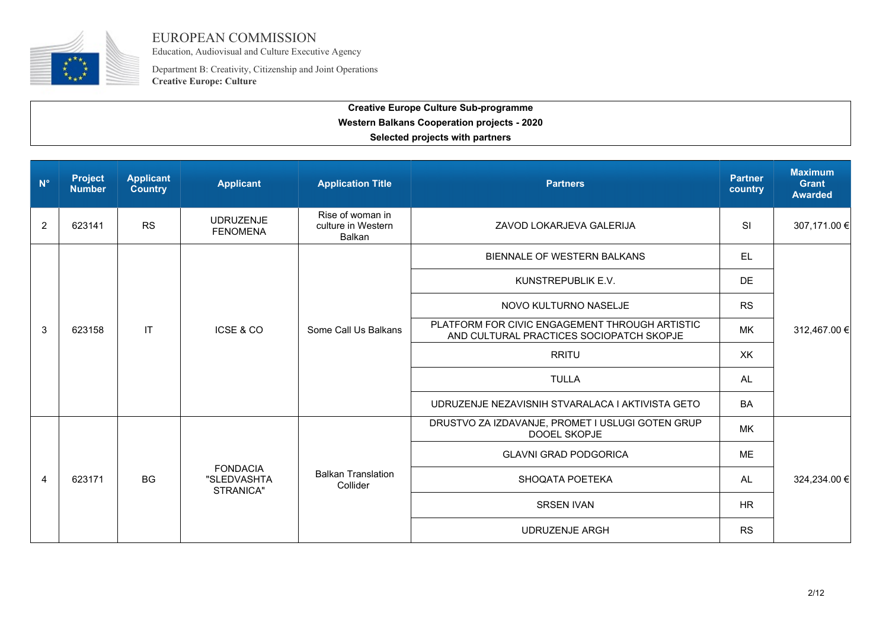

Education, Audiovisual and Culture Executive Agency

Department B: Creativity, Citizenship and Joint Operations **Creative Europe: Culture**

| $N^{\circ}$    | <b>Project</b><br><b>Number</b> | <b>Applicant</b><br><b>Country</b> | <b>Applicant</b>                            | <b>Application Title</b>                         | <b>Partners</b>                                                                            | <b>Partner</b><br>country | <b>Maximum</b><br><b>Grant</b><br><b>Awarded</b> |
|----------------|---------------------------------|------------------------------------|---------------------------------------------|--------------------------------------------------|--------------------------------------------------------------------------------------------|---------------------------|--------------------------------------------------|
| $\overline{2}$ | 623141                          | <b>RS</b>                          | <b>UDRUZENJE</b><br><b>FENOMENA</b>         | Rise of woman in<br>culture in Western<br>Balkan | ZAVOD LOKARJEVA GALERIJA                                                                   | <b>SI</b>                 | 307,171.00 €                                     |
|                |                                 |                                    |                                             |                                                  | BIENNALE OF WESTERN BALKANS                                                                | <b>EL</b>                 |                                                  |
|                |                                 |                                    |                                             |                                                  | KUNSTREPUBLIK E.V.                                                                         | <b>DE</b>                 |                                                  |
|                |                                 |                                    | ICSE & CO                                   | Some Call Us Balkans                             | NOVO KULTURNO NASELJE                                                                      | <b>RS</b>                 | 312,467.00 €                                     |
| 3              | 623158                          | IT                                 |                                             |                                                  | PLATFORM FOR CIVIC ENGAGEMENT THROUGH ARTISTIC<br>AND CULTURAL PRACTICES SOCIOPATCH SKOPJE | MK                        |                                                  |
|                |                                 |                                    |                                             |                                                  | <b>RRITU</b>                                                                               | XK                        |                                                  |
|                |                                 |                                    |                                             |                                                  | <b>TULLA</b>                                                                               | <b>AL</b>                 |                                                  |
|                |                                 |                                    |                                             |                                                  | UDRUZENJE NEZAVISNIH STVARALACA I AKTIVISTA GETO                                           | <b>BA</b>                 |                                                  |
|                |                                 |                                    |                                             |                                                  | DRUSTVO ZA IZDAVANJE, PROMET I USLUGI GOTEN GRUP<br>DOOEL SKOPJE                           | MK                        |                                                  |
|                |                                 |                                    |                                             |                                                  | <b>GLAVNI GRAD PODGORICA</b>                                                               | ME                        |                                                  |
| 4              | 623171                          | <b>BG</b>                          | <b>FONDACIA</b><br>"SLEDVASHTA<br>STRANICA" | <b>Balkan Translation</b><br>Collider            | SHOQATA POETEKA                                                                            | AL                        | 324,234.00 €                                     |
|                |                                 |                                    |                                             |                                                  | <b>SRSEN IVAN</b>                                                                          | HR.                       |                                                  |
|                |                                 |                                    |                                             |                                                  | <b>UDRUZENJE ARGH</b>                                                                      | <b>RS</b>                 |                                                  |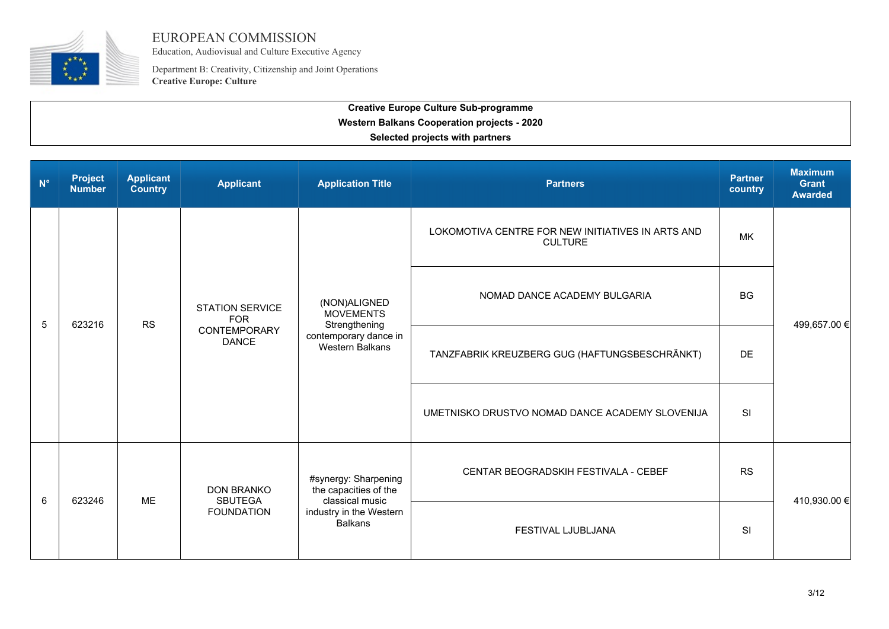

Education, Audiovisual and Culture Executive Agency

Department B: Creativity, Citizenship and Joint Operations **Creative Europe: Culture**

| $N^{\circ}$ | <b>Project</b><br><b>Number</b> | <b>Applicant</b><br>Country | <b>Applicant</b>                                                     | <b>Application Title</b>                                                                                      | <b>Partners</b>                                                     | <b>Partner</b><br>country | <b>Maximum</b><br><b>Grant</b><br><b>Awarded</b> |
|-------------|---------------------------------|-----------------------------|----------------------------------------------------------------------|---------------------------------------------------------------------------------------------------------------|---------------------------------------------------------------------|---------------------------|--------------------------------------------------|
|             |                                 |                             |                                                                      | (NON)ALIGNED<br><b>MOVEMENTS</b><br>Strengthening<br>contemporary dance in<br><b>Western Balkans</b>          | LOKOMOTIVA CENTRE FOR NEW INITIATIVES IN ARTS AND<br><b>CULTURE</b> | MK                        |                                                  |
| 5           | 623216                          | <b>RS</b>                   | <b>STATION SERVICE</b><br><b>FOR</b><br>CONTEMPORARY<br><b>DANCE</b> |                                                                                                               | NOMAD DANCE ACADEMY BULGARIA                                        | <b>BG</b>                 | 499,657.00 €                                     |
|             |                                 |                             |                                                                      |                                                                                                               | TANZFABRIK KREUZBERG GUG (HAFTUNGSBESCHRÄNKT)                       | <b>DE</b>                 |                                                  |
|             |                                 |                             |                                                                      |                                                                                                               | UMETNISKO DRUSTVO NOMAD DANCE ACADEMY SLOVENIJA                     | <b>SI</b>                 |                                                  |
|             | 623246                          | <b>ME</b>                   | <b>DON BRANKO</b><br>SBUTEGA<br><b>FOUNDATION</b>                    | #synergy: Sharpening<br>the capacities of the<br>classical music<br>industry in the Western<br><b>Balkans</b> | CENTAR BEOGRADSKIH FESTIVALA - CEBEF                                | <b>RS</b>                 |                                                  |
| 6           |                                 |                             |                                                                      |                                                                                                               | FESTIVAL LJUBLJANA                                                  | <b>SI</b>                 | 410,930.00 €                                     |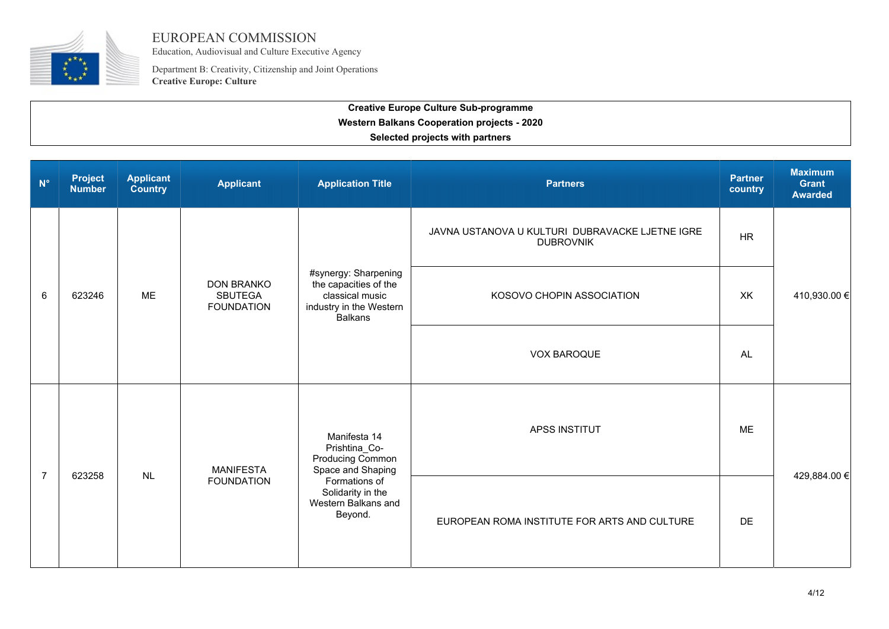

Education, Audiovisual and Culture Executive Agency

Department B: Creativity, Citizenship and Joint Operations **Creative Europe: Culture**

| $N^{\circ}$    | <b>Project</b><br><b>Number</b> | <b>Applicant</b><br><b>Country</b>   | <b>Applicant</b>                                                       | <b>Application Title</b>                                                                                      | <b>Partners</b>                                                     | <b>Partner</b><br>country | <b>Maximum</b><br><b>Grant</b><br><b>Awarded</b> |
|----------------|---------------------------------|--------------------------------------|------------------------------------------------------------------------|---------------------------------------------------------------------------------------------------------------|---------------------------------------------------------------------|---------------------------|--------------------------------------------------|
|                |                                 |                                      |                                                                        |                                                                                                               | JAVNA USTANOVA U KULTURI DUBRAVACKE LJETNE IGRE<br><b>DUBROVNIK</b> | <b>HR</b>                 |                                                  |
| 6              | 623246                          | <b>ME</b>                            | <b>DON BRANKO</b><br><b>SBUTEGA</b><br><b>FOUNDATION</b>               | #synergy: Sharpening<br>the capacities of the<br>classical music<br>industry in the Western<br><b>Balkans</b> | KOSOVO CHOPIN ASSOCIATION                                           | XK                        | 410,930.00 €                                     |
|                |                                 |                                      |                                                                        |                                                                                                               | <b>VOX BAROQUE</b>                                                  | <b>AL</b>                 |                                                  |
| $\overline{7}$ | 623258                          | MANIFESTA<br>NL<br><b>FOUNDATION</b> | Manifesta 14<br>Prishtina_Co-<br>Producing Common<br>Space and Shaping | <b>APSS INSTITUT</b>                                                                                          | <b>ME</b>                                                           |                           |                                                  |
|                |                                 |                                      |                                                                        | Formations of<br>Solidarity in the<br>Western Balkans and<br>Beyond.                                          | EUROPEAN ROMA INSTITUTE FOR ARTS AND CULTURE                        | DE                        | 429,884.00 €                                     |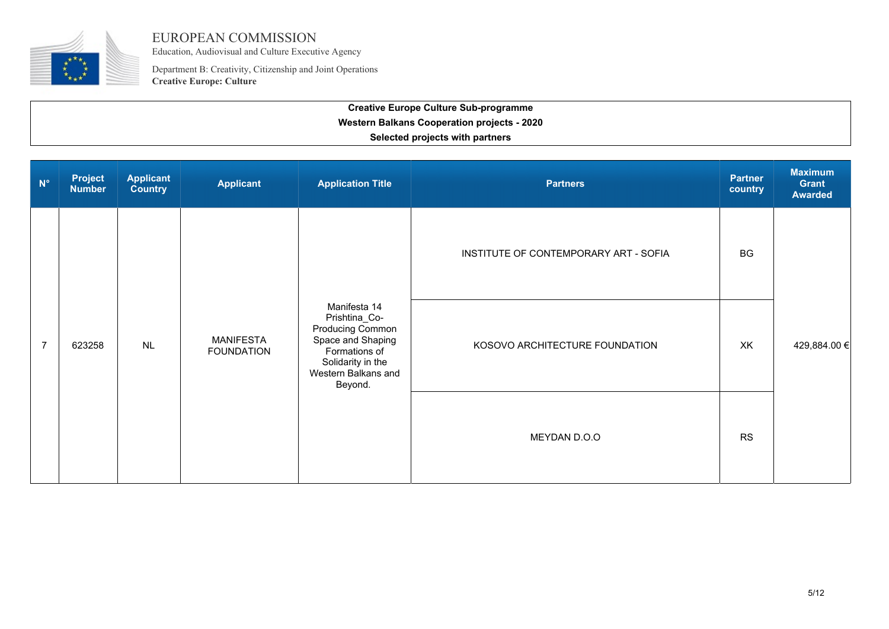

Education, Audiovisual and Culture Executive Agency

Department B: Creativity, Citizenship and Joint Operations **Creative Europe: Culture**

| $N^{\circ}$    | <b>Project</b><br><b>Number</b> | <b>Applicant</b><br><b>Country</b> | <b>Applicant</b>                      | <b>Application Title</b>                                                                                                                       | <b>Partners</b>                       | <b>Partner</b><br>country | <b>Maximum</b><br>Grant<br><b>Awarded</b> |
|----------------|---------------------------------|------------------------------------|---------------------------------------|------------------------------------------------------------------------------------------------------------------------------------------------|---------------------------------------|---------------------------|-------------------------------------------|
| $\overline{7}$ | 623258                          | NL                                 | <b>MANIFESTA</b><br><b>FOUNDATION</b> | Manifesta 14<br>Prishtina_Co-<br>Producing Common<br>Space and Shaping<br>Formations of<br>Solidarity in the<br>Western Balkans and<br>Beyond. | INSTITUTE OF CONTEMPORARY ART - SOFIA | <b>BG</b>                 |                                           |
|                |                                 |                                    |                                       |                                                                                                                                                | KOSOVO ARCHITECTURE FOUNDATION        | XK                        | 429,884.00 €                              |
|                |                                 |                                    |                                       |                                                                                                                                                | MEYDAN D.O.O                          | <b>RS</b>                 |                                           |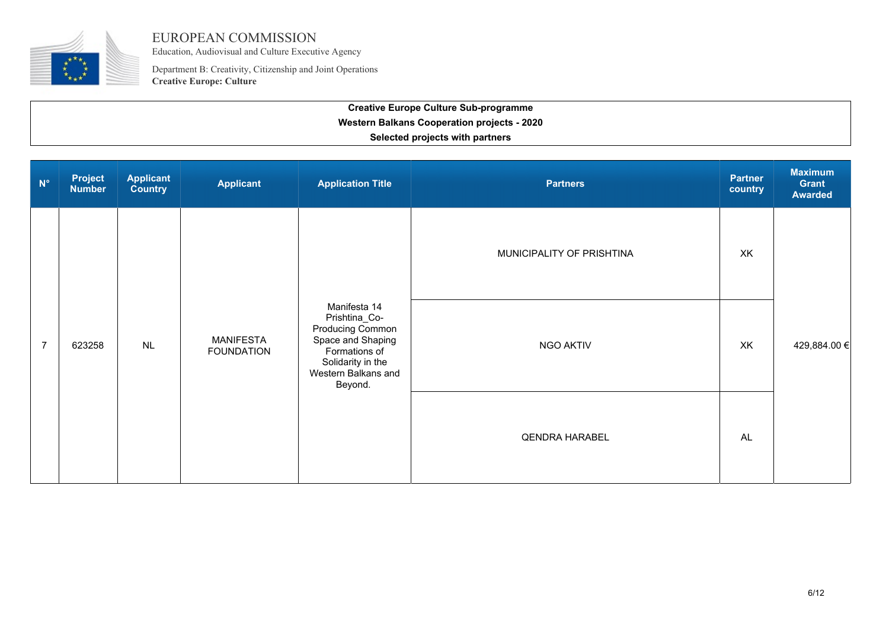

Education, Audiovisual and Culture Executive Agency

Department B: Creativity, Citizenship and Joint Operations **Creative Europe: Culture**

| <b>Creative Europe Culture Sub-programme</b>       |
|----------------------------------------------------|
| <b>Western Balkans Cooperation projects - 2020</b> |
| Selected projects with partners                    |
|                                                    |

| $N^{\circ}$    | <b>Project</b><br><b>Number</b> | <b>Applicant</b><br><b>Country</b> | <b>Applicant</b>                      | <b>Application Title</b>                                                                                                                       | <b>Partners</b>           | <b>Partner</b><br>country | <b>Maximum</b><br>Grant<br><b>Awarded</b> |
|----------------|---------------------------------|------------------------------------|---------------------------------------|------------------------------------------------------------------------------------------------------------------------------------------------|---------------------------|---------------------------|-------------------------------------------|
| $\overline{7}$ | 623258                          | <b>NL</b>                          | <b>MANIFESTA</b><br><b>FOUNDATION</b> | Manifesta 14<br>Prishtina_Co-<br>Producing Common<br>Space and Shaping<br>Formations of<br>Solidarity in the<br>Western Balkans and<br>Beyond. | MUNICIPALITY OF PRISHTINA | XK                        |                                           |
|                |                                 |                                    |                                       |                                                                                                                                                | NGO AKTIV                 | XK                        | 429,884.00 €                              |
|                |                                 |                                    |                                       |                                                                                                                                                | <b>QENDRA HARABEL</b>     | <b>AL</b>                 |                                           |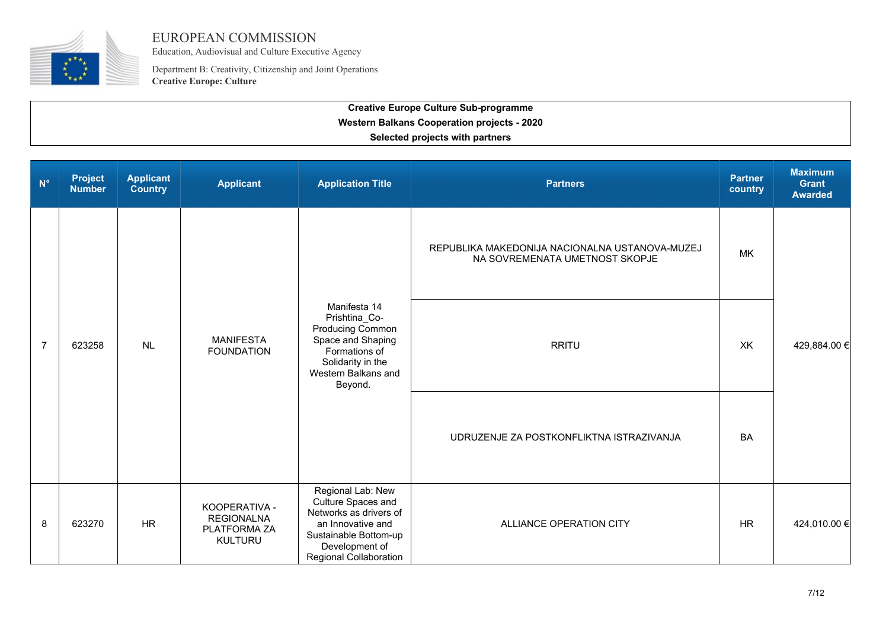

Education, Audiovisual and Culture Executive Agency

Department B: Creativity, Citizenship and Joint Operations **Creative Europe: Culture**

| $N^{\circ}$    | <b>Project</b><br><b>Number</b> | <b>Applicant</b><br>Country | <b>Applicant</b>                                                     | <b>Application Title</b>                                                                                                                                           | <b>Partners</b>                                                                  | <b>Partner</b><br>country | <b>Maximum</b><br><b>Grant</b><br><b>Awarded</b> |
|----------------|---------------------------------|-----------------------------|----------------------------------------------------------------------|--------------------------------------------------------------------------------------------------------------------------------------------------------------------|----------------------------------------------------------------------------------|---------------------------|--------------------------------------------------|
| $\overline{7}$ | 623258                          | NL                          | <b>MANIFESTA</b><br><b>FOUNDATION</b>                                | Manifesta 14<br>Prishtina_Co-<br>Producing Common<br>Space and Shaping<br>Formations of<br>Solidarity in the<br>Western Balkans and<br>Beyond.                     | REPUBLIKA MAKEDONIJA NACIONALNA USTANOVA-MUZEJ<br>NA SOVREMENATA UMETNOST SKOPJE | MK                        |                                                  |
|                |                                 |                             |                                                                      |                                                                                                                                                                    | <b>RRITU</b>                                                                     | XK                        | 429,884.00 €                                     |
|                |                                 |                             |                                                                      |                                                                                                                                                                    | UDRUZENJE ZA POSTKONFLIKTNA ISTRAZIVANJA                                         | <b>BA</b>                 |                                                  |
| 8              | 623270                          | <b>HR</b>                   | KOOPERATIVA -<br><b>REGIONALNA</b><br>PLATFORMA ZA<br><b>KULTURU</b> | Regional Lab: New<br>Culture Spaces and<br>Networks as drivers of<br>an Innovative and<br>Sustainable Bottom-up<br>Development of<br><b>Regional Collaboration</b> | ALLIANCE OPERATION CITY                                                          | <b>HR</b>                 | 424,010.00 €                                     |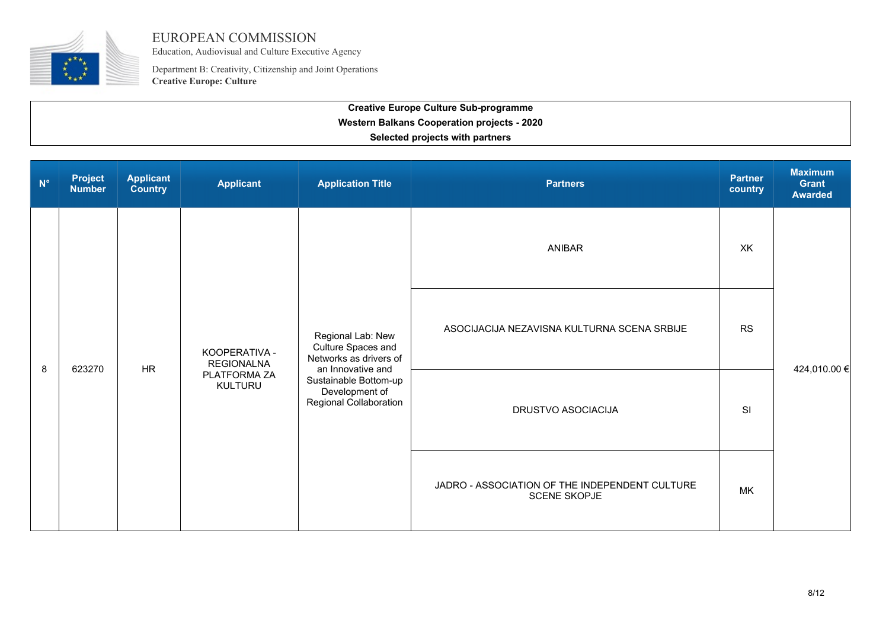

Education, Audiovisual and Culture Executive Agency

Department B: Creativity, Citizenship and Joint Operations **Creative Europe: Culture**

| $N^{\circ}$ | <b>Project</b><br><b>Number</b> | <b>Applicant</b><br><b>Country</b> | <b>Applicant</b>                                                     | <b>Application Title</b>                                                                                                                                    | <b>Partners</b>                                                       | <b>Partner</b><br>country | <b>Maximum</b><br>Grant<br><b>Awarded</b> |
|-------------|---------------------------------|------------------------------------|----------------------------------------------------------------------|-------------------------------------------------------------------------------------------------------------------------------------------------------------|-----------------------------------------------------------------------|---------------------------|-------------------------------------------|
|             |                                 | <b>HR</b>                          | KOOPERATIVA -<br><b>REGIONALNA</b><br>PLATFORMA ZA<br><b>KULTURU</b> | Regional Lab: New<br>Culture Spaces and<br>Networks as drivers of<br>an Innovative and<br>Sustainable Bottom-up<br>Development of<br>Regional Collaboration | <b>ANIBAR</b>                                                         | XK                        |                                           |
| 8           | 623270                          |                                    |                                                                      |                                                                                                                                                             | ASOCIJACIJA NEZAVISNA KULTURNA SCENA SRBIJE                           | <b>RS</b>                 | 424,010.00 €                              |
|             |                                 |                                    |                                                                      |                                                                                                                                                             | DRUSTVO ASOCIACIJA                                                    | SI                        |                                           |
|             |                                 |                                    |                                                                      |                                                                                                                                                             | JADRO - ASSOCIATION OF THE INDEPENDENT CULTURE<br><b>SCENE SKOPJE</b> | <b>MK</b>                 |                                           |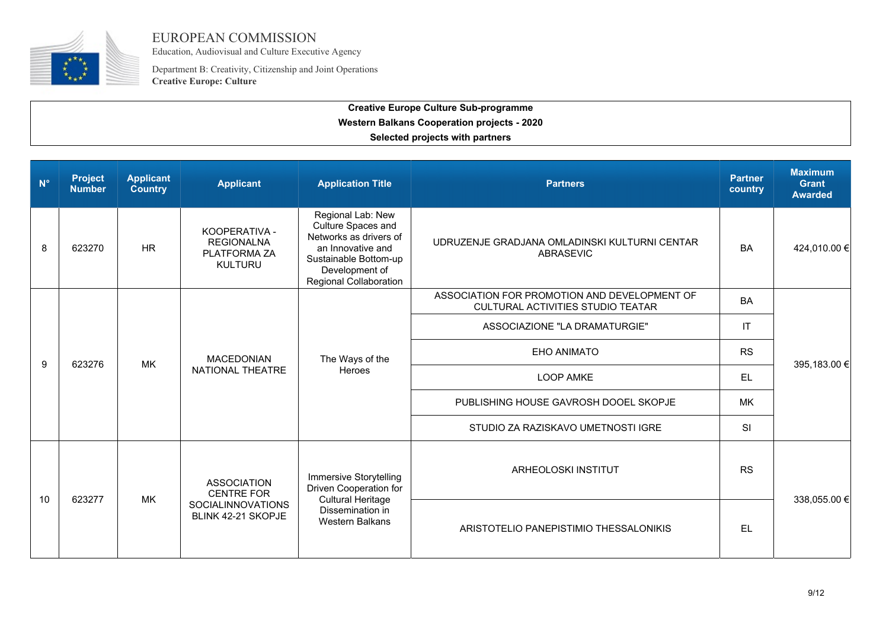

Education, Audiovisual and Culture Executive Agency

Department B: Creativity, Citizenship and Joint Operations **Creative Europe: Culture**

| $N^{\circ}$ | <b>Project</b><br><b>Number</b> | <b>Applicant</b><br><b>Country</b>                                                                     | <b>Applicant</b>                                                     | <b>Application Title</b>                                                                                                                                           | <b>Partners</b>                                                                   | <b>Partner</b><br>country | <b>Maximum</b><br><b>Grant</b><br><b>Awarded</b> |
|-------------|---------------------------------|--------------------------------------------------------------------------------------------------------|----------------------------------------------------------------------|--------------------------------------------------------------------------------------------------------------------------------------------------------------------|-----------------------------------------------------------------------------------|---------------------------|--------------------------------------------------|
| 8           | 623270                          | <b>HR</b>                                                                                              | KOOPERATIVA -<br><b>REGIONALNA</b><br>PLATFORMA ZA<br><b>KULTURU</b> | Regional Lab: New<br>Culture Spaces and<br>Networks as drivers of<br>an Innovative and<br>Sustainable Bottom-up<br>Development of<br><b>Regional Collaboration</b> | UDRUZENJE GRADJANA OMLADINSKI KULTURNI CENTAR<br>ABRASEVIC                        | <b>BA</b>                 | 424,010.00 €                                     |
|             |                                 |                                                                                                        |                                                                      |                                                                                                                                                                    | ASSOCIATION FOR PROMOTION AND DEVELOPMENT OF<br>CULTURAL ACTIVITIES STUDIO TEATAR | <b>BA</b>                 |                                                  |
|             |                                 |                                                                                                        | <b>MACEDONIAN</b><br>NATIONAL THEATRE                                | The Ways of the<br><b>Heroes</b>                                                                                                                                   | ASSOCIAZIONE "LA DRAMATURGIE"                                                     | IT                        |                                                  |
| 9           | 623276                          | МK                                                                                                     |                                                                      |                                                                                                                                                                    | <b>EHO ANIMATO</b>                                                                | <b>RS</b>                 | 395,183.00 €                                     |
|             |                                 |                                                                                                        |                                                                      |                                                                                                                                                                    | <b>LOOP AMKE</b>                                                                  | <b>EL</b>                 |                                                  |
|             |                                 |                                                                                                        |                                                                      |                                                                                                                                                                    | PUBLISHING HOUSE GAVROSH DOOEL SKOPJE                                             | <b>MK</b>                 |                                                  |
|             |                                 |                                                                                                        |                                                                      |                                                                                                                                                                    | STUDIO ZA RAZISKAVO UMETNOSTI IGRE                                                | <b>SI</b>                 |                                                  |
|             |                                 | <b>ASSOCIATION</b><br><b>CENTRE FOR</b><br><b>MK</b><br><b>SOCIALINNOVATIONS</b><br>BLINK 42-21 SKOPJE | <b>Immersive Storytelling</b><br>Driven Cooperation for              | ARHEOLOSKI INSTITUT                                                                                                                                                | <b>RS</b>                                                                         | 338,055.00 €              |                                                  |
| 10          | 623277                          |                                                                                                        |                                                                      | <b>Cultural Heritage</b><br>Dissemination in<br><b>Western Balkans</b>                                                                                             | ARISTOTELIO PANEPISTIMIO THESSALONIKIS                                            | EL                        |                                                  |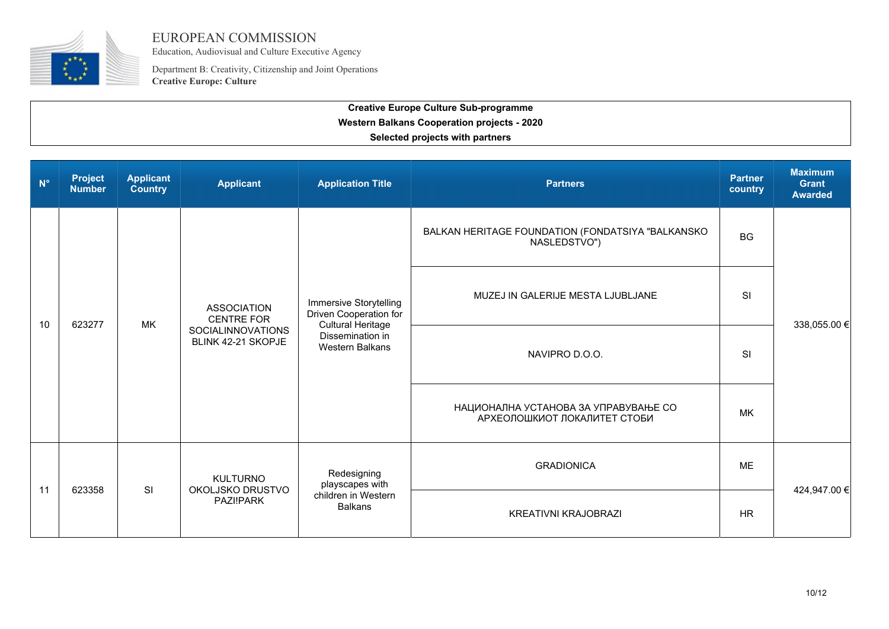

Education, Audiovisual and Culture Executive Agency

Department B: Creativity, Citizenship and Joint Operations **Creative Europe: Culture**

| $N^{\circ}$ | <b>Project</b><br><b>Number</b> | <b>Applicant</b><br><b>Country</b> | <b>Applicant</b>                                                                          | <b>Application Title</b>                                                                                                          | <b>Partners</b>                                                      | <b>Partner</b><br>country | <b>Maximum</b><br><b>Grant</b><br><b>Awarded</b> |
|-------------|---------------------------------|------------------------------------|-------------------------------------------------------------------------------------------|-----------------------------------------------------------------------------------------------------------------------------------|----------------------------------------------------------------------|---------------------------|--------------------------------------------------|
|             |                                 |                                    |                                                                                           | <b>Immersive Storytelling</b><br>Driven Cooperation for<br><b>Cultural Heritage</b><br>Dissemination in<br><b>Western Balkans</b> | BALKAN HERITAGE FOUNDATION (FONDATSIYA "BALKANSKO<br>NASLEDSTVO")    | <b>BG</b>                 | 338,055.00 €                                     |
|             | 623277                          | MK                                 | <b>ASSOCIATION</b><br><b>CENTRE FOR</b><br><b>SOCIALINNOVATIONS</b><br>BLINK 42-21 SKOPJE |                                                                                                                                   | MUZEJ IN GALERIJE MESTA LJUBLJANE                                    | SI                        |                                                  |
| 10          |                                 |                                    |                                                                                           |                                                                                                                                   | NAVIPRO D.O.O.                                                       | SI                        |                                                  |
|             |                                 |                                    |                                                                                           |                                                                                                                                   | НАЦИОНАЛНА УСТАНОВА ЗА УПРАВУВАЊЕ СО<br>АРХЕОЛОШКИОТ ЛОКАЛИТЕТ СТОБИ | <b>MK</b>                 |                                                  |
|             | 623358                          |                                    | <b>KULTURNO</b><br>OKOLJSKO DRUSTVO<br>PAZI!PARK                                          | Redesigning<br>playscapes with<br>children in Western<br><b>Balkans</b>                                                           | <b>GRADIONICA</b>                                                    | <b>ME</b>                 |                                                  |
| 11          |                                 | SI                                 |                                                                                           |                                                                                                                                   | <b>KREATIVNI KRAJOBRAZI</b>                                          | <b>HR</b>                 | 424,947.00 €                                     |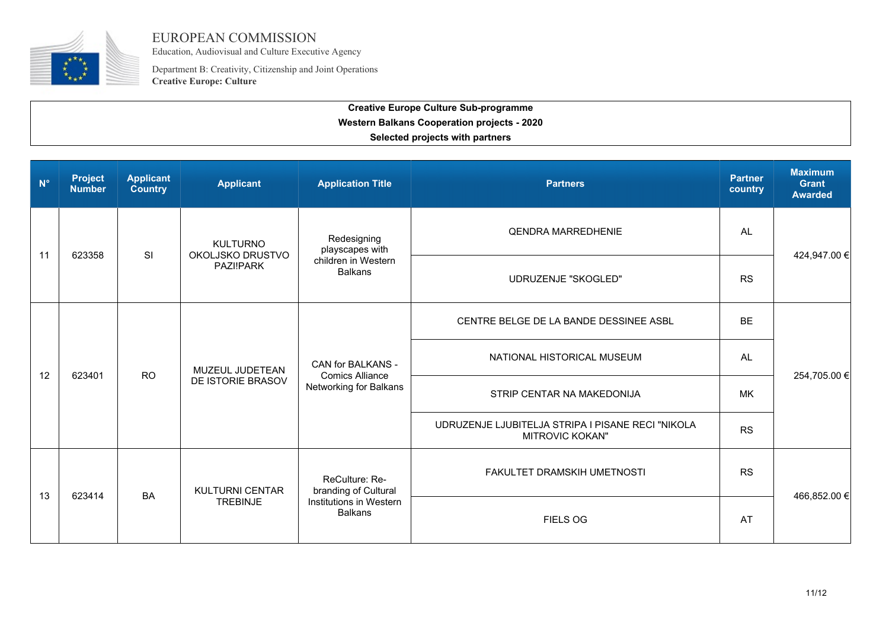

Education, Audiovisual and Culture Executive Agency

Department B: Creativity, Citizenship and Joint Operations **Creative Europe: Culture**

| $N^{\circ}$ | <b>Project</b><br><b>Number</b> | <b>Applicant</b><br><b>Country</b> | <b>Applicant</b>                          | <b>Application Title</b>                                                            | <b>Partners</b>                                                             | <b>Partner</b><br>country | <b>Maximum</b><br><b>Grant</b><br><b>Awarded</b> |
|-------------|---------------------------------|------------------------------------|-------------------------------------------|-------------------------------------------------------------------------------------|-----------------------------------------------------------------------------|---------------------------|--------------------------------------------------|
| 11          | 623358                          | SI                                 | <b>KULTURNO</b><br>OKOLJSKO DRUSTVO       | Redesigning<br>playscapes with<br>children in Western<br><b>Balkans</b>             | <b>QENDRA MARREDHENIE</b>                                                   | <b>AL</b>                 | 424,947.00 €                                     |
|             |                                 |                                    | PAZI!PARK                                 |                                                                                     | UDRUZENJE "SKOGLED"                                                         | <b>RS</b>                 |                                                  |
|             |                                 |                                    |                                           |                                                                                     | CENTRE BELGE DE LA BANDE DESSINEE ASBL                                      | <b>BE</b>                 | 254,705.00 €                                     |
|             |                                 | <b>RO</b>                          | MUZEUL JUDETEAN<br>DE ISTORIE BRASOV      | CAN for BALKANS -<br><b>Comics Alliance</b><br>Networking for Balkans               | NATIONAL HISTORICAL MUSEUM                                                  | AL                        |                                                  |
| 12          | 623401                          |                                    |                                           |                                                                                     | STRIP CENTAR NA MAKEDONIJA                                                  | <b>MK</b>                 |                                                  |
|             |                                 |                                    |                                           |                                                                                     | UDRUZENJE LJUBITELJA STRIPA I PISANE RECI "NIKOLA<br><b>MITROVIC KOKAN"</b> | <b>RS</b>                 |                                                  |
| 13          | 623414                          | <b>BA</b>                          | <b>KULTURNI CENTAR</b><br><b>TREBINJE</b> | ReCulture: Re-<br>branding of Cultural<br>Institutions in Western<br><b>Balkans</b> | FAKULTET DRAMSKIH UMETNOSTI                                                 | <b>RS</b>                 | 466,852.00 €                                     |
|             |                                 |                                    |                                           |                                                                                     | <b>FIELS OG</b>                                                             | AT                        |                                                  |